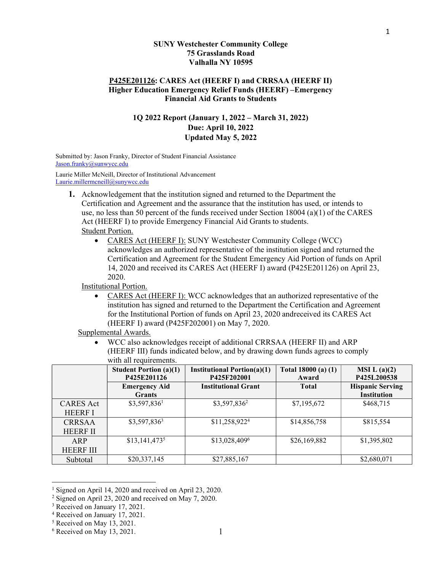#### SUNY Westchester Community College 75 Grasslands Road Valhalla NY 10595

### P425E201126: CARES Act (HEERF I) and CRRSAA (HEERF II) Higher Education Emergency Relief Funds (HEERF) – Emergency Financial Aid Grants to Students

## 1Q 2022 Report (January 1, 2022 – March 31, 2022) Due: April 10, 2022 Updated May 5, 2022

Submitted by: Jason Franky, Director of Student Financial Assistance Jason.franky@sunwycc.edu

Laurie Miller McNeill, Director of Institutional Advancement Laurie.millermcneill@sunywcc.edu

- 1. Acknowledgement that the institution signed and returned to the Department the Certification and Agreement and the assurance that the institution has used, or intends to use, no less than 50 percent of the funds received under Section 18004 (a)(1) of the CARES Act (HEERF I) to provide Emergency Financial Aid Grants to students. Student Portion.
	- CARES Act (HEERF I): SUNY Westchester Community College (WCC) acknowledges an authorized representative of the institution signed and returned the Certification and Agreement for the Student Emergency Aid Portion of funds on April 14, 2020 and received its CARES Act (HEERF I) award (P425E201126) on April 23, 2020.

Institutional Portion.

 CARES Act (HEERF I): WCC acknowledges that an authorized representative of the institution has signed and returned to the Department the Certification and Agreement for the Institutional Portion of funds on April 23, 2020 and received its CARES Act (HEERF I) award (P425F202001) on May 7, 2020.

Supplemental Awards.

 WCC also acknowledges receipt of additional CRRSAA (HEERF II) and ARP (HEERF III) funds indicated below, and by drawing down funds agrees to comply with all requirements.

|                  | <b>Student Portion (a)(1)</b><br>P425E201126 | <b>Institutional Portion(a)(1)</b><br>P425F202001 | Total $18000(a) (1)$<br>Award | MSI L(a)(2)<br>P425L200538                    |
|------------------|----------------------------------------------|---------------------------------------------------|-------------------------------|-----------------------------------------------|
|                  | <b>Emergency Aid</b><br><b>Grants</b>        | <b>Institutional Grant</b>                        | <b>Total</b>                  | <b>Hispanic Serving</b><br><b>Institution</b> |
| <b>CARES</b> Act | $$3,597,836$ <sup>1</sup>                    | \$3,597,836 <sup>2</sup>                          | \$7,195,672                   | \$468,715                                     |
| <b>HEERF I</b>   |                                              |                                                   |                               |                                               |
| <b>CRRSAA</b>    | $$3,597,836^3$                               | \$11,258,922 <sup>4</sup>                         | \$14,856,758                  | \$815,554                                     |
| <b>HEERF II</b>  |                                              |                                                   |                               |                                               |
| ARP              | \$13,141,4735                                | \$13,028,4096                                     | \$26,169,882                  | \$1,395,802                                   |
| <b>HEERF III</b> |                                              |                                                   |                               |                                               |
| Subtotal         | \$20,337,145                                 | \$27,885,167                                      |                               | \$2,680,071                                   |

<sup>&</sup>lt;sup>1</sup> Signed on April 14, 2020 and received on April 23, 2020.

1

<sup>&</sup>lt;sup>2</sup> Signed on April 23, 2020 and received on May 7, 2020.

<sup>&</sup>lt;sup>3</sup> Received on January 17, 2021.

<sup>4</sup> Received on January 17, 2021.

<sup>5</sup> Received on May 13, 2021.

<sup>6</sup> Received on May 13, 2021.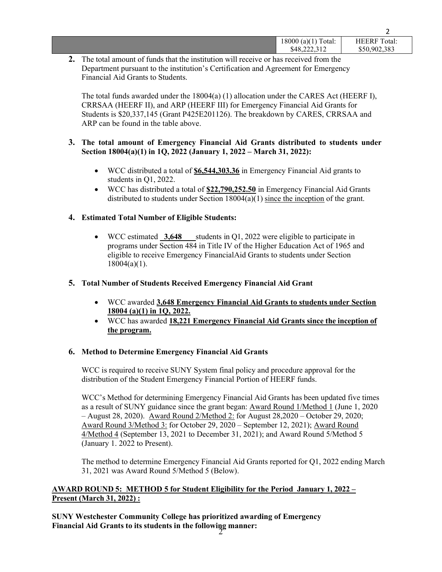|                                           | -                   |
|-------------------------------------------|---------------------|
| $\mathbf{r}$<br>(a)(1)<br>18000<br>Total: | <b>HEERF</b> Total: |
| \$48,222,312                              | \$50,902,383        |
|                                           |                     |

 $\mathcal{L}$ 

2. The total amount of funds that the institution will receive or has received from the Department pursuant to the institution's Certification and Agreement for Emergency Financial Aid Grants to Students.

The total funds awarded under the 18004(a) (1) allocation under the CARES Act (HEERF I), CRRSAA (HEERF II), and ARP (HEERF III) for Emergency Financial Aid Grants for Students is \$20,337,145 (Grant P425E201126). The breakdown by CARES, CRRSAA and ARP can be found in the table above.

### 3. The total amount of Emergency Financial Aid Grants distributed to students under Section 18004(a)(1) in 1Q, 2022 (January 1, 2022 – March 31, 2022):

- WCC distributed a total of **\$6,544,303.36** in Emergency Financial Aid grants to students in Q1, 2022.
- WCC has distributed a total of \$22,790,252.50 in Emergency Financial Aid Grants distributed to students under Section 18004(a)(1) since the inception of the grant.

## 4. Estimated Total Number of Eligible Students:

 $\bullet$  WCC estimated  $3,648$  students in Q1, 2022 were eligible to participate in programs under Section 484 in Title IV of the Higher Education Act of 1965 and eligible to receive Emergency Financial Aid Grants to students under Section 18004(a)(1).

### 5. Total Number of Students Received Emergency Financial Aid Grant

- WCC awarded 3,648 Emergency Financial Aid Grants to students under Section 18004 (a)(1) in 1Q, 2022.
- WCC has awarded 18,221 Emergency Financial Aid Grants since the inception of the program.

## 6. Method to Determine Emergency Financial Aid Grants

WCC is required to receive SUNY System final policy and procedure approval for the distribution of the Student Emergency Financial Portion of HEERF funds.

WCC's Method for determining Emergency Financial Aid Grants has been updated five times as a result of SUNY guidance since the grant began: Award Round 1/Method 1 (June 1, 2020 – August 28, 2020). Award Round 2/Method 2: for August 28,2020 – October 29, 2020; Award Round 3/Method 3: for October 29, 2020 – September 12, 2021); Award Round 4/Method 4 (September 13, 2021 to December 31, 2021); and Award Round 5/Method 5 (January 1. 2022 to Present).

The method to determine Emergency Financial Aid Grants reported for Q1, 2022 ending March 31, 2021 was Award Round 5/Method 5 (Below).

# AWARD ROUND 5: METHOD 5 for Student Eligibility for the Period January 1, 2022 – Present (March 31, 2022) :

 $2^{\sim}$  mumer. SUNY Westchester Community College has prioritized awarding of Emergency Financial Aid Grants to its students in the following manner: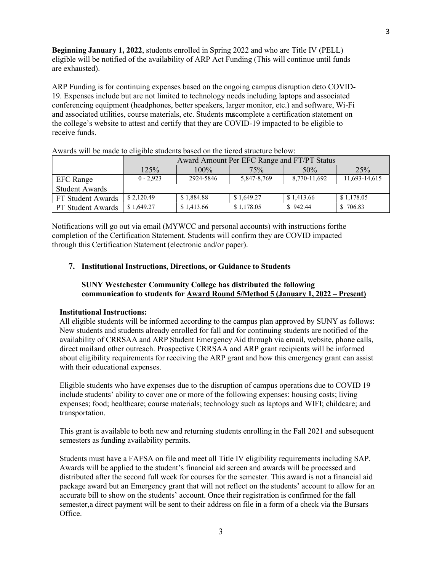Beginning January 1, 2022, students enrolled in Spring 2022 and who are Title IV (PELL) eligible will be notified of the availability of ARP Act Funding (This will continue until funds are exhausted).

ARP Funding is for continuing expenses based on the ongoing campus disruption deto COVID-19. Expenses include but are not limited to technology needs including laptops and associated conferencing equipment (headphones, better speakers, larger monitor, etc.) and software, Wi-Fi and associated utilities, course materials, etc. Students matcomplete a certification statement on the college's website to attest and certify that they are COVID-19 impacted to be eligible to receive funds.

|                       | Award Amount Per EFC Range and FT/PT Status |            |             |              |               |  |
|-----------------------|---------------------------------------------|------------|-------------|--------------|---------------|--|
|                       | 125%                                        | $100\%$    | 75%         | 50%          | 25%           |  |
| <b>EFC</b> Range      | $0 - 2.923$                                 | 2924-5846  | 5,847-8,769 | 8,770-11,692 | 11,693-14,615 |  |
| <b>Student Awards</b> |                                             |            |             |              |               |  |
| FT Student Awards     | \$2,120.49                                  | \$1,884.88 | \$1,649.27  | \$1,413.66   | \$1,178.05    |  |
| PT Student Awards     | \$1,649.27                                  | \$1,413.66 | \$1,178.05  | \$942.44     | \$706.83      |  |

Awards will be made to eligible students based on the tiered structure below:

Notifications will go out via email (MYWCC and personal accounts) with instructions for the completion of the Certification Statement. Students will confirm they are COVID impacted through this Certification Statement (electronic and/or paper).

#### 7. Institutional Instructions, Directions, or Guidance to Students

### SUNY Westchester Community College has distributed the following communication to students for Award Round 5/Method 5 (January 1, 2022 – Present)

#### Institutional Instructions:

All eligible students will be informed according to the campus plan approved by SUNY as follows: New students and students already enrolled for fall and for continuing students are notified of the availability of CRRSAA and ARP Student Emergency Aid through via email, website, phone calls, direct mail and other outreach. Prospective CRRSAA and ARP grant recipients will be informed about eligibility requirements for receiving the ARP grant and how this emergency grant can assist with their educational expenses.

Eligible students who have expenses due to the disruption of campus operations due to COVID 19 include students' ability to cover one or more of the following expenses: housing costs; living expenses; food; healthcare; course materials; technology such as laptops and WIFI; childcare; and transportation.

This grant is available to both new and returning students enrolling in the Fall 2021 and subsequent semesters as funding availability permits.

Students must have a FAFSA on file and meet all Title IV eligibility requirements including SAP. Awards will be applied to the student's financial aid screen and awards will be processed and distributed after the second full week for courses for the semester. This award is not a financial aid package award but an Emergency grant that will not reflect on the students' account to allow for an accurate bill to show on the students' account. Once their registration is confirmed for the fall semester, a direct payment will be sent to their address on file in a form of a check via the Bursars Office.